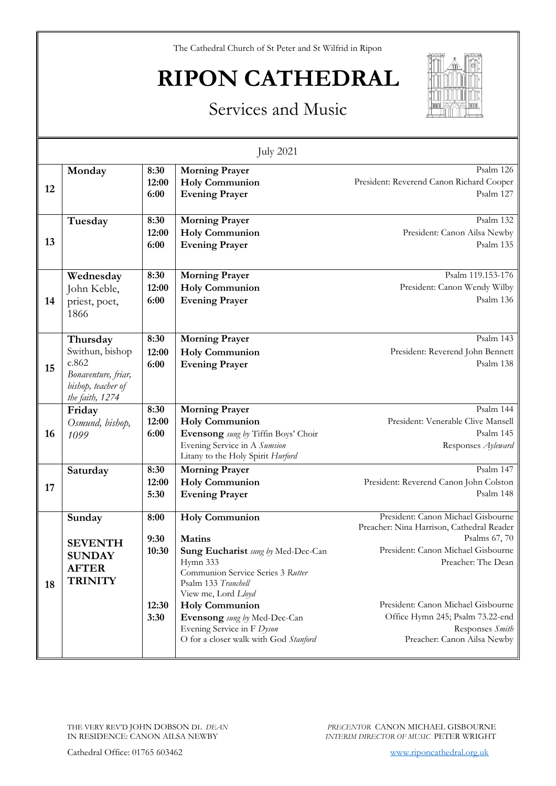The Cathedral Church of St Peter and St Wilfrid in Ripon

# **RIPON CATHEDRAL**



### Services and Music

| <b>July 2021</b> |                                                                                                      |                                        |                                                                                                                                                                                                                                                                                                             |                                                                                                                                                                                                                                                                                          |
|------------------|------------------------------------------------------------------------------------------------------|----------------------------------------|-------------------------------------------------------------------------------------------------------------------------------------------------------------------------------------------------------------------------------------------------------------------------------------------------------------|------------------------------------------------------------------------------------------------------------------------------------------------------------------------------------------------------------------------------------------------------------------------------------------|
| 12               | Monday                                                                                               | 8:30<br>12:00<br>6:00                  | <b>Morning Prayer</b><br><b>Holy Communion</b><br><b>Evening Prayer</b>                                                                                                                                                                                                                                     | Psalm 126<br>President: Reverend Canon Richard Cooper<br>Psalm 127                                                                                                                                                                                                                       |
| 13               | Tuesday                                                                                              | 8:30<br>12:00<br>6:00                  | <b>Morning Prayer</b><br><b>Holy Communion</b><br><b>Evening Prayer</b>                                                                                                                                                                                                                                     | Psalm 132<br>President: Canon Ailsa Newby<br>Psalm 135                                                                                                                                                                                                                                   |
| 14               | Wednesday<br>John Keble,<br>priest, poet,<br>1866                                                    | 8:30<br>12:00<br>6:00                  | <b>Morning Prayer</b><br><b>Holy Communion</b><br><b>Evening Prayer</b>                                                                                                                                                                                                                                     | Psalm 119.153-176<br>President: Canon Wendy Wilby<br>Psalm 136                                                                                                                                                                                                                           |
| 15               | Thursday<br>Swithun, bishop<br>c.862<br>Bonaventure, friar,<br>bishop, teacher of<br>the faith, 1274 | 8:30<br>12:00<br>6:00                  | <b>Morning Prayer</b><br><b>Holy Communion</b><br><b>Evening Prayer</b>                                                                                                                                                                                                                                     | Psalm 143<br>President: Reverend John Bennett<br>Psalm 138                                                                                                                                                                                                                               |
| 16               | Friday<br>Osmund, bishop,<br>1099                                                                    | 8:30<br>12:00<br>6:00                  | <b>Morning Prayer</b><br><b>Holy Communion</b><br>Evensong sung by Tiffin Boys' Choir<br>Evening Service in A Sumsion<br>Litany to the Holy Spirit Hurford                                                                                                                                                  | Psalm 144<br>President: Venerable Clive Mansell<br>Psalm 145<br>Responses Ayleward                                                                                                                                                                                                       |
| 17               | Saturday                                                                                             | 8:30<br>12:00<br>5:30                  | <b>Morning Prayer</b><br><b>Holy Communion</b><br><b>Evening Prayer</b>                                                                                                                                                                                                                                     | Psalm 147<br>President: Reverend Canon John Colston<br>Psalm 148                                                                                                                                                                                                                         |
| 18               | Sunday<br><b>SEVENTH</b><br><b>SUNDAY</b><br><b>AFTER</b><br><b>TRINITY</b>                          | 8:00<br>9:30<br>10:30<br>12:30<br>3:30 | <b>Holy Communion</b><br><b>Matins</b><br>Sung Eucharist sung by Med-Dec-Can<br>Hymn 333<br>Communion Service Series 3 Rutter<br>Psalm 133 Tranchell<br>View me, Lord Lloyd<br><b>Holy Communion</b><br>Evensong sung by Med-Dec-Can<br>Evening Service in F Dyson<br>O for a closer walk with God Stanford | President: Canon Michael Gisbourne<br>Preacher: Nina Harrison, Cathedral Reader<br>Psalms 67, 70<br>President: Canon Michael Gisbourne<br>Preacher: The Dean<br>President: Canon Michael Gisbourne<br>Office Hymn 245; Psalm 73.22-end<br>Responses Smith<br>Preacher: Canon Ailsa Newby |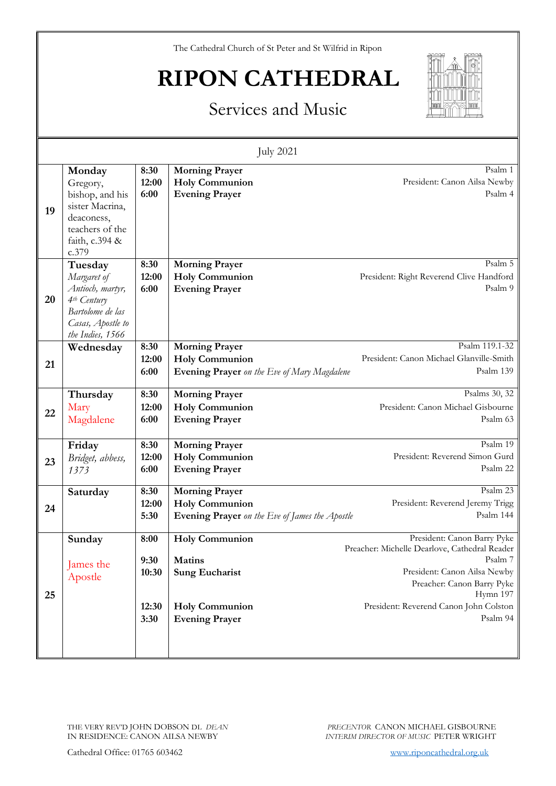The Cathedral Church of St Peter and St Wilfrid in Ripon

## **RIPON CATHEDRAL**



### Services and Music

| <b>July 2021</b> |                                                                                                                                    |                                        |                                                                                                                   |                                                                                                                                                                                                                         |  |
|------------------|------------------------------------------------------------------------------------------------------------------------------------|----------------------------------------|-------------------------------------------------------------------------------------------------------------------|-------------------------------------------------------------------------------------------------------------------------------------------------------------------------------------------------------------------------|--|
| 19               | Monday<br>Gregory,<br>bishop, and his<br>sister Macrina,<br>deaconess,<br>teachers of the<br>faith, c.394 &<br>c.379               | 8:30<br>12:00<br>6:00                  | <b>Morning Prayer</b><br><b>Holy Communion</b><br><b>Evening Prayer</b>                                           | Psalm 1<br>President: Canon Ailsa Newby<br>Psalm 4                                                                                                                                                                      |  |
| 20               | Tuesday<br>Margaret of<br>Antioch, martyr,<br>4 <sup>th</sup> Century<br>Bartolome de las<br>Casas, Apostle to<br>the Indies, 1566 | 8:30<br>12:00<br>6:00                  | <b>Morning Prayer</b><br><b>Holy Communion</b><br><b>Evening Prayer</b>                                           | Psalm 5<br>President: Right Reverend Clive Handford<br>Psalm 9                                                                                                                                                          |  |
| 21               | Wednesday                                                                                                                          | 8:30<br>12:00<br>6:00                  | <b>Morning Prayer</b><br><b>Holy Communion</b><br>Evening Prayer on the Eve of Mary Magdalene                     | Psalm 119.1-32<br>President: Canon Michael Glanville-Smith<br>Psalm 139                                                                                                                                                 |  |
| 22               | Thursday<br>Mary<br>Magdalene                                                                                                      | 8:30<br>12:00<br>6:00                  | <b>Morning Prayer</b><br><b>Holy Communion</b><br><b>Evening Prayer</b>                                           | Psalms 30, 32<br>President: Canon Michael Gisbourne<br>Psalm 63                                                                                                                                                         |  |
| 23               | Friday<br>Bridget, abbess,<br>1373                                                                                                 | 8:30<br>12:00<br>6:00                  | <b>Morning Prayer</b><br><b>Holy Communion</b><br><b>Evening Prayer</b>                                           | Psalm 19<br>President: Reverend Simon Gurd<br>Psalm 22                                                                                                                                                                  |  |
| 24               | Saturday                                                                                                                           | 8:30<br>12:00<br>5:30                  | <b>Morning Prayer</b><br><b>Holy Communion</b><br><b>Evening Prayer</b> on the Eve of James the Apostle           | Psalm 23<br>President: Reverend Jeremy Trigg<br>Psalm 144                                                                                                                                                               |  |
| 25               | Sunday<br>James the<br>Apostle                                                                                                     | 8:00<br>9:30<br>10:30<br>12:30<br>3:30 | <b>Holy Communion</b><br><b>Matins</b><br><b>Sung Eucharist</b><br><b>Holy Communion</b><br><b>Evening Prayer</b> | President: Canon Barry Pyke<br>Preacher: Michelle Dearlove, Cathedral Reader<br>Psalm 7<br>President: Canon Ailsa Newby<br>Preacher: Canon Barry Pyke<br>Hymn 197<br>President: Reverend Canon John Colston<br>Psalm 94 |  |
|                  |                                                                                                                                    |                                        |                                                                                                                   |                                                                                                                                                                                                                         |  |